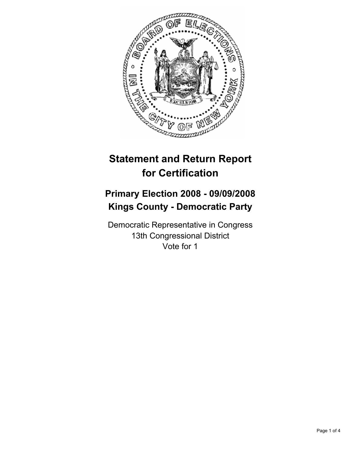

# **Statement and Return Report for Certification**

# **Primary Election 2008 - 09/09/2008 Kings County - Democratic Party**

Democratic Representative in Congress 13th Congressional District Vote for 1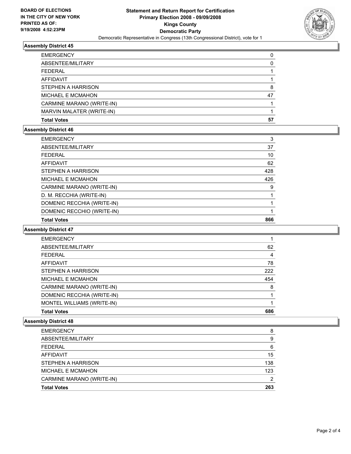

### **Assembly District 45**

| <b>EMERGENCY</b>          |    |
|---------------------------|----|
| ABSENTEE/MILITARY         |    |
| FEDERAL                   |    |
| AFFIDAVIT                 |    |
| <b>STEPHEN A HARRISON</b> |    |
| <b>MICHAEL E MCMAHON</b>  | 47 |
| CARMINE MARANO (WRITE-IN) |    |
| MARVIN MALATER (WRITE-IN) |    |
| <b>Total Votes</b>        | 57 |

### **Assembly District 46**

| DOMENIC RECCHIO (WRITE-IN) |     |
|----------------------------|-----|
| DOMENIC RECCHIA (WRITE-IN) |     |
| D. M. RECCHIA (WRITE-IN)   |     |
| CARMINE MARANO (WRITE-IN)  | 9   |
| MICHAEL E MCMAHON          | 426 |
| STEPHEN A HARRISON         | 428 |
| <b>AFFIDAVIT</b>           | 62  |
| <b>FEDERAL</b>             | 10  |
| ABSENTEE/MILITARY          | 37  |
| <b>EMERGENCY</b>           | 3   |

#### **Assembly District 47**

| <b>EMERGENCY</b>           |     |
|----------------------------|-----|
| ABSENTEE/MILITARY          | 62  |
| <b>FEDERAL</b>             | 4   |
| <b>AFFIDAVIT</b>           | 78  |
| STEPHEN A HARRISON         | 222 |
| MICHAEL E MCMAHON          | 454 |
| CARMINE MARANO (WRITE-IN)  | 8   |
| DOMENIC RECCHIA (WRITE-IN) |     |
| MONTEL WILLIAMS (WRITE-IN) |     |
| <b>Total Votes</b>         | 686 |

### **Assembly District 48**

| <b>EMERGENCY</b>          | 8   |
|---------------------------|-----|
| ABSENTEE/MILITARY         | 9   |
| <b>FEDERAL</b>            | 6   |
| <b>AFFIDAVIT</b>          | 15  |
| <b>STEPHEN A HARRISON</b> | 138 |
| MICHAEL E MCMAHON         | 123 |
| CARMINE MARANO (WRITE-IN) |     |
| <b>Total Votes</b>        | 263 |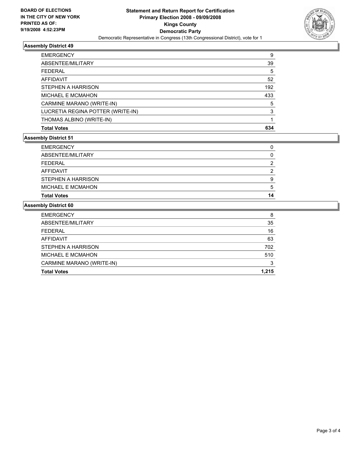

# **Assembly District 49**

| <b>EMERGENCY</b><br>9             |
|-----------------------------------|
| ABSENTEE/MILITARY<br>39           |
| <b>FEDERAL</b><br>5               |
| <b>AFFIDAVIT</b><br>52            |
| 192<br>STEPHEN A HARRISON         |
| 433<br><b>MICHAEL E MCMAHON</b>   |
| CARMINE MARANO (WRITE-IN)<br>5    |
| LUCRETIA REGINA POTTER (WRITE-IN) |
| THOMAS ALBINO (WRITE-IN)          |
| 634<br><b>Total Votes</b>         |

#### **Assembly District 51**

| <b>Total Votes</b>        | 14 |
|---------------------------|----|
| <b>MICHAEL E MCMAHON</b>  |    |
| <b>STEPHEN A HARRISON</b> |    |
| AFFIDAVIT                 |    |
| FEDERAL                   |    |
| ABSENTEE/MILITARY         |    |
| <b>EMERGENCY</b>          |    |

## **Assembly District 60**

| <b>EMERGENCY</b>          | 8     |
|---------------------------|-------|
| ABSENTEE/MILITARY         | 35    |
| <b>FEDERAL</b>            | 16    |
| AFFIDAVIT                 | 63    |
| <b>STEPHEN A HARRISON</b> | 702   |
| MICHAEL E MCMAHON         | 510   |
| CARMINE MARANO (WRITE-IN) | 3     |
| <b>Total Votes</b>        | 1,215 |